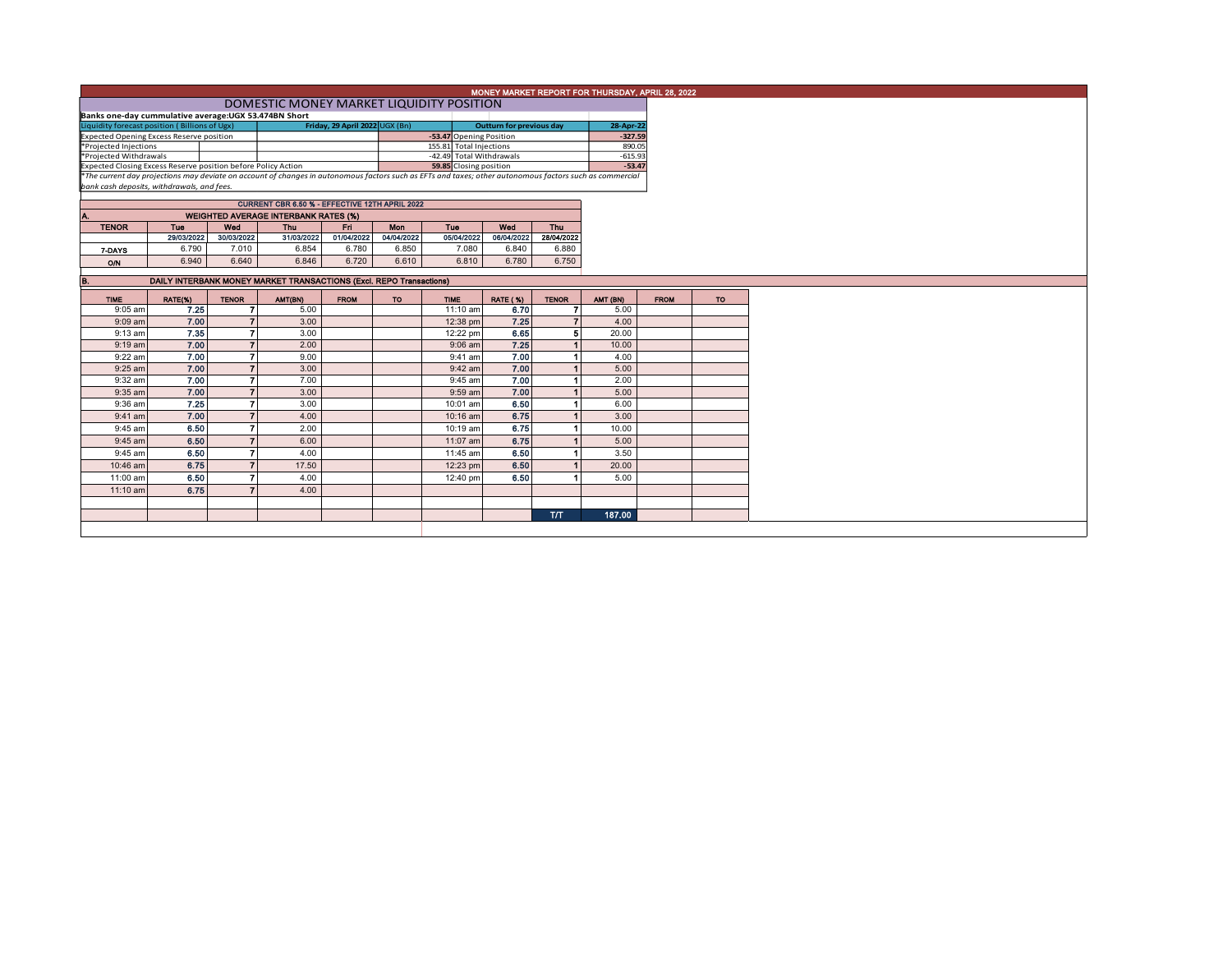|                                                                                                                                                                                                                          | MONEY MARKET REPORT FOR THURSDAY, APRIL 28, 2022      |                     |                                                                     |             |            |                         |                         |                       |              |             |    |  |  |
|--------------------------------------------------------------------------------------------------------------------------------------------------------------------------------------------------------------------------|-------------------------------------------------------|---------------------|---------------------------------------------------------------------|-------------|------------|-------------------------|-------------------------|-----------------------|--------------|-------------|----|--|--|
|                                                                                                                                                                                                                          | DOMESTIC MONEY MARKET LIQUIDITY POSITION              |                     |                                                                     |             |            |                         |                         |                       |              |             |    |  |  |
|                                                                                                                                                                                                                          | Banks one-day cummulative average: UGX 53.474BN Short |                     |                                                                     |             |            |                         |                         |                       |              |             |    |  |  |
| Liquidity forecast position (Billions of Ugx)<br>Friday, 29 April 2022 UGX (Bn)<br><b>Outturn for previous day</b>                                                                                                       |                                                       |                     |                                                                     |             |            |                         |                         |                       | 28-Apr-22    |             |    |  |  |
| Expected Opening Excess Reserve position<br>*Projected Injections                                                                                                                                                        |                                                       |                     |                                                                     |             |            |                         | -53.47 Opening Position |                       | $-327.59$    |             |    |  |  |
|                                                                                                                                                                                                                          |                                                       |                     |                                                                     |             |            | 155.81 Total Injections |                         |                       | 890.05       |             |    |  |  |
| *Projected Withdrawals<br>-42.49 Total Withdrawals                                                                                                                                                                       |                                                       |                     |                                                                     |             |            |                         |                         | $-615.93$<br>$-53.47$ |              |             |    |  |  |
| Expected Closing Excess Reserve position before Policy Action<br>The current day projections may deviate on account of changes in autonomous factors such as EFTs and taxes; other autonomous factors such as commercial |                                                       |                     |                                                                     |             |            |                         |                         |                       |              |             |    |  |  |
| bank cash deposits, withdrawals, and fees.                                                                                                                                                                               |                                                       |                     |                                                                     |             |            |                         |                         |                       |              |             |    |  |  |
|                                                                                                                                                                                                                          | CURRENT CBR 6.50 % - EFFECTIVE 12TH APRIL 2022        |                     |                                                                     |             |            |                         |                         |                       |              |             |    |  |  |
| Α.                                                                                                                                                                                                                       |                                                       |                     | <b>WEIGHTED AVERAGE INTERBANK RATES (%)</b>                         |             |            |                         |                         |                       |              |             |    |  |  |
| <b>TENOR</b>                                                                                                                                                                                                             | Tue                                                   | Wed                 | Thu                                                                 | Fri.        | Mon        | Tue                     | Wed                     | Thu                   |              |             |    |  |  |
|                                                                                                                                                                                                                          | 29/03/2022                                            | 30/03/2022          | 31/03/2022                                                          | 01/04/2022  | 04/04/2022 | 05/04/2022              | 06/04/2022              | 28/04/2022            |              |             |    |  |  |
| 7-DAYS                                                                                                                                                                                                                   | 6.790                                                 | 7.010               | 6.854                                                               | 6.780       | 6.850      | 7.080                   | 6.840                   | 6.880                 |              |             |    |  |  |
| O/N                                                                                                                                                                                                                      | 6.940                                                 | 6.640               | 6.846                                                               | 6.720       | 6.610      | 6.810                   | 6.780                   | 6.750                 |              |             |    |  |  |
|                                                                                                                                                                                                                          |                                                       |                     |                                                                     |             |            |                         |                         |                       |              |             |    |  |  |
| B.                                                                                                                                                                                                                       |                                                       |                     | DAILY INTERBANK MONEY MARKET TRANSACTIONS (Excl. REPO Transactions) |             |            |                         |                         |                       |              |             |    |  |  |
| <b>TIME</b>                                                                                                                                                                                                              | RATE(%)                                               | <b>TENOR</b>        | AMT(BN)                                                             | <b>FROM</b> | <b>TO</b>  | <b>TIME</b>             | <b>RATE (%)</b>         | <b>TENOR</b>          | AMT (BN)     | <b>FROM</b> | TO |  |  |
| 9:05 am                                                                                                                                                                                                                  | 7.25                                                  | 7                   | 5.00                                                                |             |            | 11:10 am                | 6.70                    | $\overline{ }$        | 5.00         |             |    |  |  |
| 9:09 am                                                                                                                                                                                                                  | 7.00                                                  | $\overline{ }$      | 3.00                                                                |             |            | 12:38 pm                | 7.25                    | $\overline{7}$        | 4.00         |             |    |  |  |
| 9:13 am                                                                                                                                                                                                                  | 7.35                                                  | 7                   | 3.00                                                                |             |            | 12:22 pm                | 6.65                    | 5                     | 20.00        |             |    |  |  |
| $9:19$ am                                                                                                                                                                                                                | 7.00                                                  | $\overline{7}$<br>7 | 2.00                                                                |             |            | $9:06$ am               | 7.25                    |                       | 10.00        |             |    |  |  |
| 9:22 am                                                                                                                                                                                                                  | 7.00                                                  | $\overline{ }$      | 9.00                                                                |             |            | $9:41$ am               | 7.00                    |                       | 4.00         |             |    |  |  |
| $9:25$ am                                                                                                                                                                                                                | 7.00<br>7.00                                          | 7                   | 3.00<br>7.00                                                        |             |            | $9:42$ am               | 7.00<br>7.00            |                       | 5.00         |             |    |  |  |
| 9:32 am<br>9:35 am                                                                                                                                                                                                       | 7.00                                                  | $\overline{7}$      | 3.00                                                                |             |            | 9:45 am<br>9:59 am      | 7.00                    |                       | 2.00<br>5.00 |             |    |  |  |
| 9:36 am                                                                                                                                                                                                                  | 7.25                                                  |                     | 3.00                                                                |             |            |                         | 6.50                    |                       | 6.00         |             |    |  |  |
| $9:41$ am                                                                                                                                                                                                                | 7.00                                                  |                     | 4.00                                                                |             |            | 10:01 am<br>10:16 am    | 6.75                    |                       | 3.00         |             |    |  |  |
| 9:45 am                                                                                                                                                                                                                  | 6.50                                                  |                     | 2.00                                                                |             |            | 10:19 am                | 6.75                    |                       | 10.00        |             |    |  |  |
|                                                                                                                                                                                                                          |                                                       |                     |                                                                     |             |            |                         |                         |                       |              |             |    |  |  |
| $9:45$ am                                                                                                                                                                                                                | 6.50                                                  |                     | 6.00                                                                |             |            | 11:07 am                | 6.75                    |                       | 5.00         |             |    |  |  |
| 9:45 am                                                                                                                                                                                                                  | 6.50                                                  |                     | 4.00                                                                |             |            | 11:45 am                | 6.50                    |                       | 3.50         |             |    |  |  |
| 10:46 am                                                                                                                                                                                                                 | 6.75                                                  |                     | 17.50                                                               |             |            | 12:23 pm                | 6.50                    |                       | 20.00        |             |    |  |  |
| 11:00 am                                                                                                                                                                                                                 | 6.50                                                  |                     | 4.00                                                                |             |            | 12:40 pm                | 6.50                    |                       | 5.00         |             |    |  |  |
|                                                                                                                                                                                                                          |                                                       |                     | 4.00                                                                |             |            |                         |                         |                       |              |             |    |  |  |
| $11:10$ am                                                                                                                                                                                                               | 6.75                                                  |                     |                                                                     |             |            |                         |                         |                       |              |             |    |  |  |
|                                                                                                                                                                                                                          |                                                       |                     |                                                                     |             |            |                         |                         |                       |              |             |    |  |  |
|                                                                                                                                                                                                                          |                                                       |                     |                                                                     |             |            |                         |                         | <b>T/T</b>            | 187.00       |             |    |  |  |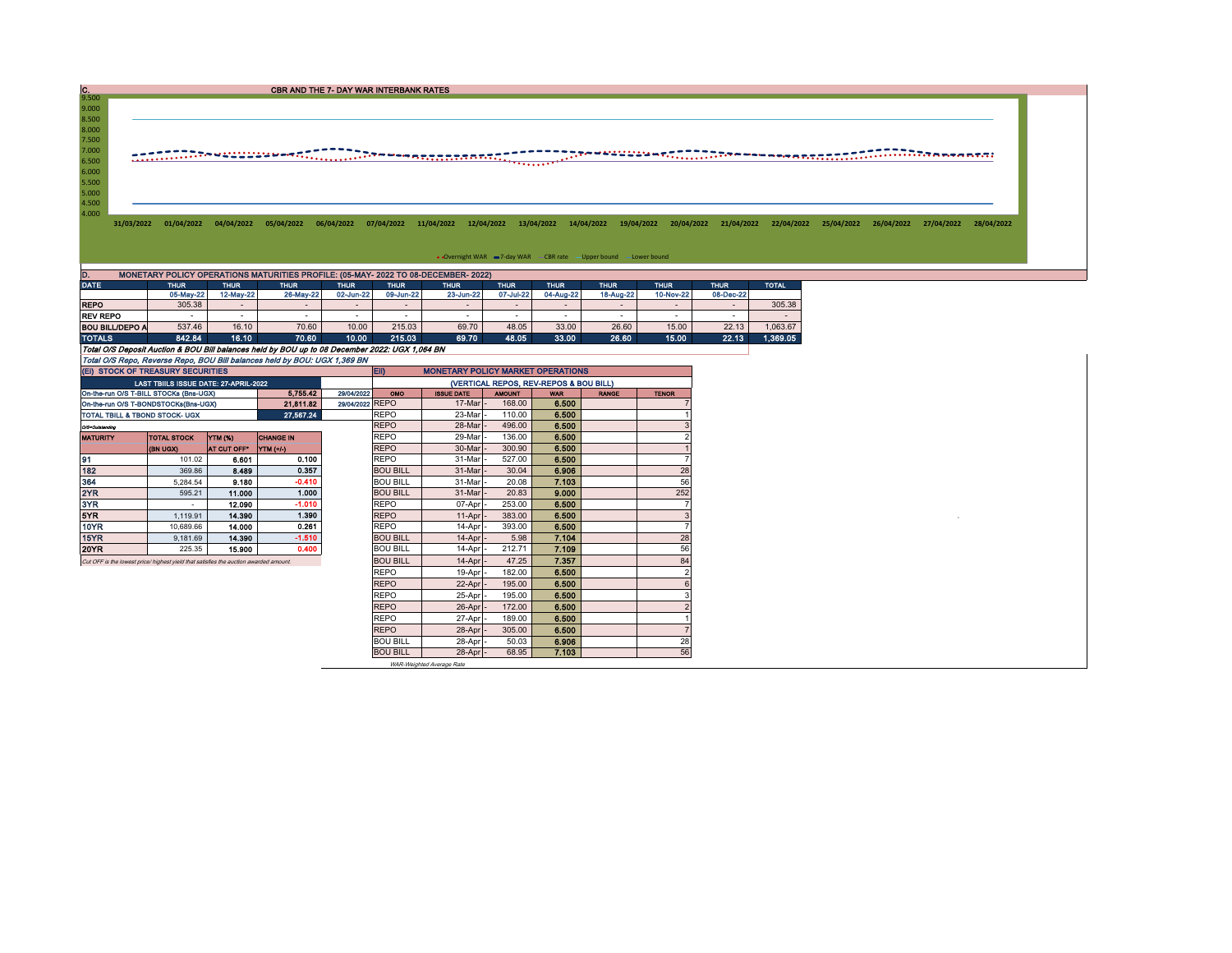CBR AND THE 7- DAY WAR INTERBANK RATES

## 9.500<br>
8.500<br>
8.000<br>
7.500<br>
7.000<br>
6.500<br>
5.500<br>
5.500<br>
4.500<br>
4.500

31/03/2022 01/04/2022 04/04/2022 05/04/2022 06/04/2022 07/04/2022 11/04/2022 12/04/2022 13/04/2022 14/04/2022 19/04/2022 20/04/2022 21/04/2022 22/04/2022 25/04/2022 26/04/2022 27/04/2022 29/04/2022 27/04/2022 29/04/2022 20:

• Overnight WAR =7-day WAR CBR rate -Upper bound -Lower bound

| D.<br>MONETARY POLICY OPERATIONS MATURITIES PROFILE: (05-MAY- 2022 TO 08-DECEMBER- 2022)       |                            |           |             |             |           |                          |             |                          |             |             |             |              |  |  |
|------------------------------------------------------------------------------------------------|----------------------------|-----------|-------------|-------------|-----------|--------------------------|-------------|--------------------------|-------------|-------------|-------------|--------------|--|--|
| <b>DATE</b>                                                                                    | <b>THUR</b><br><b>THUR</b> |           | <b>THUR</b> | <b>THUR</b> |           | <b>THUR</b>              | <b>THUR</b> | <b>THUR</b>              | <b>THUR</b> | <b>THUR</b> | <b>THUR</b> | <b>TOTAL</b> |  |  |
|                                                                                                | 05-May-22                  | 12-May-22 | 26-May-22   | 02-Jun-22   | 09-Jun-22 | 23-Jun-22                | 07-Jul-22   | 04-Aug-22                | 18-Aug-22   | 10-Nov-22   | 08-Dec-22   |              |  |  |
| <b>REPO</b>                                                                                    | 305.38                     |           |             | $\sim$      |           | $\overline{\phantom{0}}$ |             | $\overline{\phantom{0}}$ |             | -           | $\sim$      | 305.38       |  |  |
| <b>REV REPO</b>                                                                                |                            |           |             |             |           |                          |             | -                        |             |             |             |              |  |  |
| <b>BOU BILL/DEPO A</b>                                                                         | 537.46                     | 16.10     | 70.60       | 10.00       | 215.03    | 69.70                    | 48.05       | 33.00                    | 26.60       | 15.00       | 22.13       | 1.063.67     |  |  |
| <b>TOTALS</b>                                                                                  | 842.84                     | 16.10     | 70.60       | 10.00       | 215.03    | 69.70                    | 48.05       | 33.00                    | 26.60       | 15.00       | 22.13       | 1.369.05     |  |  |
| Total O/S Deposit Auction & BOU Bill balances held by BOU up to 08 December 2022: UGX 1.064 BN |                            |           |             |             |           |                          |             |                          |             |             |             |              |  |  |
| Total O/S Repo, Reverse Repo, BOU Bill balances held by BOU: UGX 1,369 BN                      |                            |           |             |             |           |                          |             |                          |             |             |             |              |  |  |

|                                                                  |             |                  |                                                                                                                                                                                                                      | <b>ED</b><br><b>MONETARY POLICY MARKET OPERATIONS</b> |                                                                 |                                       |                                                     |                                  |              |  |  |  |
|------------------------------------------------------------------|-------------|------------------|----------------------------------------------------------------------------------------------------------------------------------------------------------------------------------------------------------------------|-------------------------------------------------------|-----------------------------------------------------------------|---------------------------------------|-----------------------------------------------------|----------------------------------|--------------|--|--|--|
|                                                                  |             |                  |                                                                                                                                                                                                                      | (VERTICAL REPOS, REV-REPOS & BOU BILL)                |                                                                 |                                       |                                                     |                                  |              |  |  |  |
| 29/04/2022<br>On-the-run O/S T-BILL STOCKs (Bns-UGX)<br>5.755.42 |             |                  |                                                                                                                                                                                                                      |                                                       |                                                                 | <b>AMOUNT</b>                         | <b>WAR</b>                                          | <b>RANGE</b>                     | <b>TENOR</b> |  |  |  |
| 21.811.82<br>On-the-run O/S T-BONDSTOCKs(Bns-UGX)                |             |                  |                                                                                                                                                                                                                      |                                                       |                                                                 |                                       |                                                     |                                  |              |  |  |  |
| 27.567.24<br>TOTAL TBILL & TBOND STOCK- UGX                      |             |                  |                                                                                                                                                                                                                      | <b>REPO</b>                                           | 23-Mar                                                          | 110.00                                |                                                     |                                  |              |  |  |  |
| O/S=Outstanding                                                  |             |                  |                                                                                                                                                                                                                      | <b>REPO</b>                                           | 28-Mar                                                          | 496.00                                | 6.500                                               |                                  |              |  |  |  |
| <b>TOTAL STOCK</b>                                               |             | <b>CHANGE IN</b> |                                                                                                                                                                                                                      |                                                       | 29-Mar                                                          |                                       |                                                     |                                  |              |  |  |  |
| (BN UGX)                                                         | AT CUT OFF" |                  |                                                                                                                                                                                                                      | <b>REPO</b>                                           | 30-Mar                                                          | 300.90                                | 6,500                                               |                                  |              |  |  |  |
| 101.02                                                           | 6.601       | 0.100            |                                                                                                                                                                                                                      | <b>REPO</b>                                           | 31-Mar                                                          | 527.00                                | 6.500                                               |                                  |              |  |  |  |
| 369.86                                                           | 8.489       | 0.357            |                                                                                                                                                                                                                      | <b>BOU BILL</b>                                       | 31-Mar                                                          | 30.04                                 | 6.906                                               |                                  | 28           |  |  |  |
| 5.284.54                                                         |             | $-0.410$         |                                                                                                                                                                                                                      | <b>BOU BILL</b>                                       | 31-Mar                                                          | 20.08                                 | 7.103                                               |                                  | 56           |  |  |  |
| 595.21                                                           |             | 1.000            |                                                                                                                                                                                                                      | <b>BOU BILL</b>                                       | 31-Mar                                                          | 20.83                                 | 9.000                                               |                                  | 252          |  |  |  |
| $\overline{\phantom{a}}$                                         | 12.090      | $-1.010$         |                                                                                                                                                                                                                      | <b>REPO</b>                                           | 07-Apr                                                          | 253.00                                | 6,500                                               |                                  |              |  |  |  |
| 1.119.91                                                         | 14.390      | 1.390            |                                                                                                                                                                                                                      | <b>REPO</b>                                           | 11-Apr                                                          | 383.00                                | 6.500                                               |                                  | 3            |  |  |  |
| 10.689.66                                                        | 14.000      | 0.261            |                                                                                                                                                                                                                      | <b>REPO</b>                                           | 14-Apr                                                          | 393.00                                | 6.500                                               |                                  |              |  |  |  |
| 9.181.69                                                         |             | $-1.510$         |                                                                                                                                                                                                                      | <b>BOU BILL</b>                                       |                                                                 | 5.98                                  | 7.104                                               |                                  | 28           |  |  |  |
| 225.35                                                           | 15,900      | 0.400            |                                                                                                                                                                                                                      | <b>BOU BILL</b>                                       | 14-Apr                                                          | 212.71                                | 7.109                                               |                                  | 56           |  |  |  |
|                                                                  |             |                  |                                                                                                                                                                                                                      | <b>BOU BILL</b>                                       | $14-Apr$                                                        | 47.25                                 | 7.357                                               |                                  | 84           |  |  |  |
|                                                                  |             |                  |                                                                                                                                                                                                                      | <b>REPO</b>                                           | 19-Apr                                                          | 182.00                                | 6.500                                               |                                  |              |  |  |  |
|                                                                  |             |                  |                                                                                                                                                                                                                      | <b>REPO</b>                                           | 22-Apr                                                          | 195.00                                | 6.500                                               |                                  |              |  |  |  |
|                                                                  |             |                  |                                                                                                                                                                                                                      | <b>REPO</b>                                           | 25-Apr                                                          | 195.00                                | 6.500                                               |                                  |              |  |  |  |
|                                                                  |             |                  |                                                                                                                                                                                                                      | <b>REPO</b>                                           | 26-Apr                                                          | 172.00                                | 6.500                                               |                                  |              |  |  |  |
|                                                                  |             |                  |                                                                                                                                                                                                                      | <b>REPO</b>                                           | 27-Apr                                                          | 189.00                                | 6.500                                               |                                  |              |  |  |  |
|                                                                  |             |                  |                                                                                                                                                                                                                      | <b>REPO</b>                                           | 28-Apr                                                          | 305.00                                | 6.500                                               |                                  |              |  |  |  |
|                                                                  |             |                  |                                                                                                                                                                                                                      |                                                       |                                                                 |                                       |                                                     |                                  | 28           |  |  |  |
|                                                                  |             |                  |                                                                                                                                                                                                                      | <b>BOU BILL</b>                                       |                                                                 | 68.95                                 | 7.103                                               |                                  | 56           |  |  |  |
|                                                                  |             | YTM (%)          | (EI) STOCK OF TREASURY SECURITIES<br>LAST TBIILS ISSUE DATE: 27-APRIL-2022<br><b>YTM</b> (+/-)<br>9.180<br>11.000<br>14.390<br>Cut OFF is the lowest price/ highest yield that satisfies the auction awarded amount. |                                                       | <b>OMO</b><br>29/04/2022 REPO<br><b>REPO</b><br><b>BOU BILL</b> | <b>ISSUE DATE</b><br>17-Mar<br>28-Apr | 168.00<br>136.00<br>$14-Apr$<br>50.03<br>$28-Apr$ - | 6.500<br>6.500<br>6.500<br>6.906 |              |  |  |  |

WAR-Weighted Average Rate